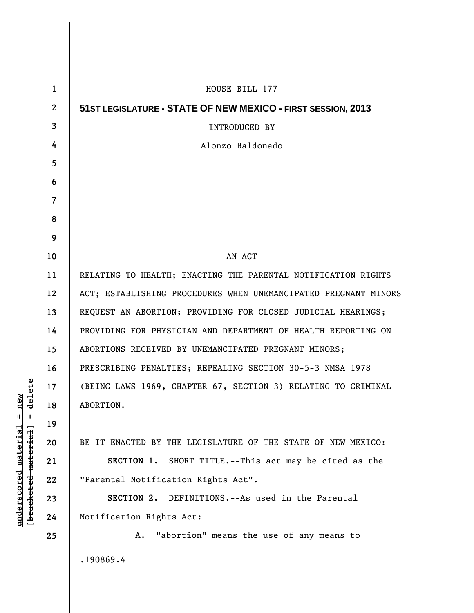| $\mathbf 1$  | HOUSE BILL 177                                                  |
|--------------|-----------------------------------------------------------------|
| $\mathbf{2}$ | 51ST LEGISLATURE - STATE OF NEW MEXICO - FIRST SESSION, 2013    |
| 3            | <b>INTRODUCED BY</b>                                            |
| 4            | Alonzo Baldonado                                                |
| 5            |                                                                 |
| 6            |                                                                 |
| 7            |                                                                 |
| 8            |                                                                 |
| 9            |                                                                 |
| 10           | AN ACT                                                          |
| 11           | RELATING TO HEALTH; ENACTING THE PARENTAL NOTIFICATION RIGHTS   |
| 12           | ACT; ESTABLISHING PROCEDURES WHEN UNEMANCIPATED PREGNANT MINORS |
| 13           | REQUEST AN ABORTION; PROVIDING FOR CLOSED JUDICIAL HEARINGS;    |
| 14           | PROVIDING FOR PHYSICIAN AND DEPARTMENT OF HEALTH REPORTING ON   |
| 15           | ABORTIONS RECEIVED BY UNEMANCIPATED PREGNANT MINORS;            |
| 16           | PRESCRIBING PENALTIES; REPEALING SECTION 30-5-3 NMSA 1978       |
| 17           | (BEING LAWS 1969, CHAPTER 67, SECTION 3) RELATING TO CRIMINAL   |
| 18           | ABORTION.                                                       |
| 19           |                                                                 |
| 20           | BE IT ENACTED BY THE LEGISLATURE OF THE STATE OF NEW MEXICO:    |
| 21           | SECTION 1. SHORT TITLE.--This act may be cited as the           |
| 22           | "Parental Notification Rights Act".                             |
| 23           | SECTION 2. DEFINITIONS.--As used in the Parental                |
| 24           | Notification Rights Act:                                        |
| 25           | "abortion" means the use of any means to<br>Α.                  |
|              | .190869.4                                                       |
|              |                                                                 |

 $[bracketeed-materiat] = delete$ **[bracketed material] = delete**  $underscored material = new$ **underscored material = new**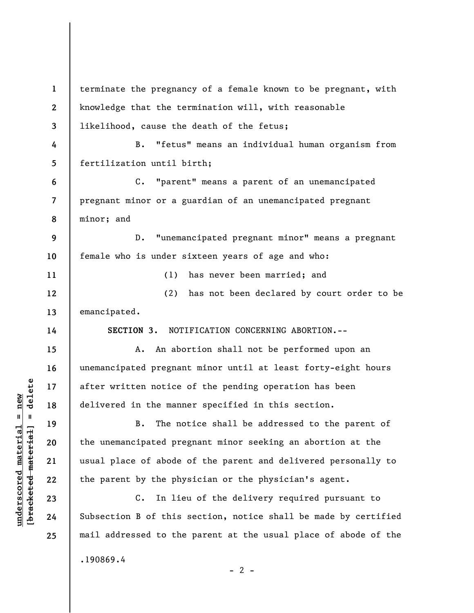**1 2 3 4 5 6 7 8 9 10 11 12 13 14 15 16 17 18 19 20 21 22 23 24 25**  terminate the pregnancy of a female known to be pregnant, with knowledge that the termination will, with reasonable likelihood, cause the death of the fetus; B. "fetus" means an individual human organism from fertilization until birth; C. "parent" means a parent of an unemancipated pregnant minor or a guardian of an unemancipated pregnant minor; and D. "unemancipated pregnant minor" means a pregnant female who is under sixteen years of age and who: (1) has never been married; and (2) has not been declared by court order to be emancipated. **SECTION 3.** NOTIFICATION CONCERNING ABORTION.-- A. An abortion shall not be performed upon an unemancipated pregnant minor until at least forty-eight hours after written notice of the pending operation has been delivered in the manner specified in this section. B. The notice shall be addressed to the parent of the unemancipated pregnant minor seeking an abortion at the usual place of abode of the parent and delivered personally to the parent by the physician or the physician's agent. C. In lieu of the delivery required pursuant to Subsection B of this section, notice shall be made by certified mail addressed to the parent at the usual place of abode of the .190869.4

 $\frac{1}{2}$  intereted material = delete **[bracketed material] = delete**

**underscored material = new**

 $underscored material = new$ 

 $- 2 -$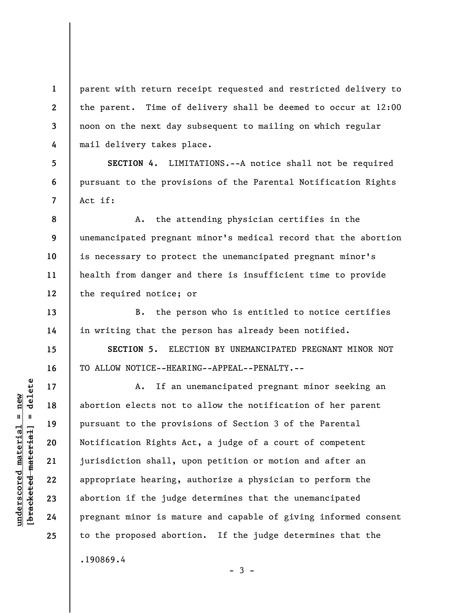parent with return receipt requested and restricted delivery to the parent. Time of delivery shall be deemed to occur at 12:00 noon on the next day subsequent to mailing on which regular mail delivery takes place.

**SECTION 4.** LIMITATIONS.--A notice shall not be required pursuant to the provisions of the Parental Notification Rights Act if:

**8 9 10 11 12**  A. the attending physician certifies in the unemancipated pregnant minor's medical record that the abortion is necessary to protect the unemancipated pregnant minor's health from danger and there is insufficient time to provide the required notice; or

B. the person who is entitled to notice certifies in writing that the person has already been notified.

**SECTION 5.** ELECTION BY UNEMANCIPATED PREGNANT MINOR NOT TO ALLOW NOTICE--HEARING--APPEAL--PENALTY.--

A. If an unemancipated pregnant minor seeking an abortion elects not to allow the notification of her parent pursuant to the provisions of Section 3 of the Parental Notification Rights Act, a judge of a court of competent jurisdiction shall, upon petition or motion and after an appropriate hearing, authorize a physician to perform the abortion if the judge determines that the unemancipated pregnant minor is mature and capable of giving informed consent to the proposed abortion. If the judge determines that the .190869.4

 $-3 -$ 

**1** 

**2** 

**3** 

**4** 

**5** 

**6** 

**7** 

**13** 

**14** 

**15** 

**16** 

**17** 

**18** 

**19** 

**20** 

**21** 

**22** 

**23** 

**24** 

**25**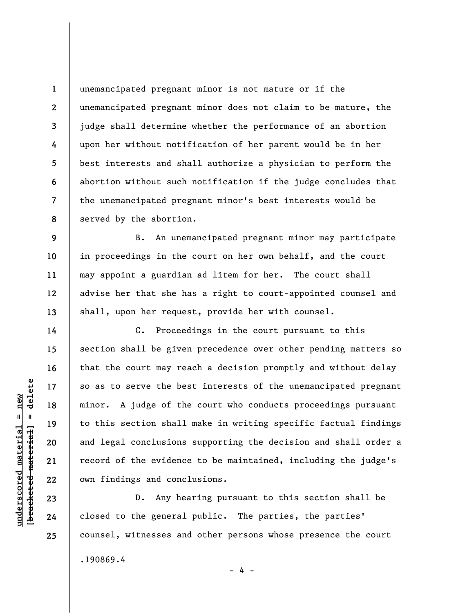**1 2 3 4 5 6 7 8**  unemancipated pregnant minor is not mature or if the unemancipated pregnant minor does not claim to be mature, the judge shall determine whether the performance of an abortion upon her without notification of her parent would be in her best interests and shall authorize a physician to perform the abortion without such notification if the judge concludes that the unemancipated pregnant minor's best interests would be served by the abortion.

B. An unemancipated pregnant minor may participate in proceedings in the court on her own behalf, and the court may appoint a guardian ad litem for her. The court shall advise her that she has a right to court-appointed counsel and shall, upon her request, provide her with counsel.

C. Proceedings in the court pursuant to this section shall be given precedence over other pending matters so that the court may reach a decision promptly and without delay so as to serve the best interests of the unemancipated pregnant minor. A judge of the court who conducts proceedings pursuant to this section shall make in writing specific factual findings and legal conclusions supporting the decision and shall order a record of the evidence to be maintained, including the judge's own findings and conclusions.

D. Any hearing pursuant to this section shall be closed to the general public. The parties, the parties' counsel, witnesses and other persons whose presence the court .190869.4

- 4 -

 $\frac{1}{2}$  intereted material = delete **[bracketed material] = delete**  $underscored material = new$ **underscored material = new**

**9** 

**10** 

**11** 

**12** 

**13** 

**14** 

**15** 

**16** 

**17** 

**18** 

**19** 

**20** 

**21** 

**22** 

**23** 

**24** 

**25**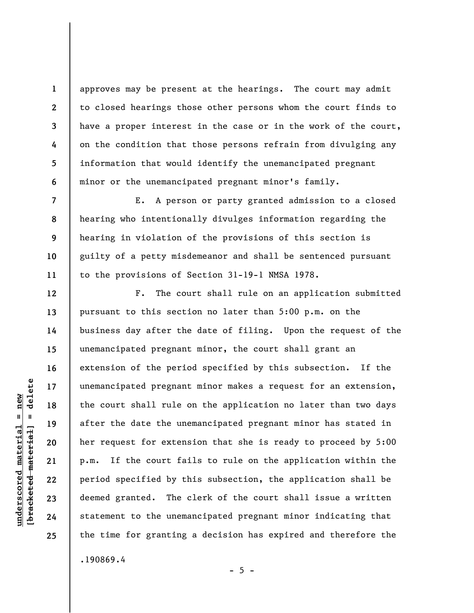approves may be present at the hearings. The court may admit to closed hearings those other persons whom the court finds to have a proper interest in the case or in the work of the court, on the condition that those persons refrain from divulging any information that would identify the unemancipated pregnant minor or the unemancipated pregnant minor's family.

E. A person or party granted admission to a closed hearing who intentionally divulges information regarding the hearing in violation of the provisions of this section is guilty of a petty misdemeanor and shall be sentenced pursuant to the provisions of Section 31-19-1 NMSA 1978.

F. The court shall rule on an application submitted pursuant to this section no later than 5:00 p.m. on the business day after the date of filing. Upon the request of the unemancipated pregnant minor, the court shall grant an extension of the period specified by this subsection. If the unemancipated pregnant minor makes a request for an extension, the court shall rule on the application no later than two days after the date the unemancipated pregnant minor has stated in her request for extension that she is ready to proceed by 5:00 p.m. If the court fails to rule on the application within the period specified by this subsection, the application shall be deemed granted. The clerk of the court shall issue a written statement to the unemancipated pregnant minor indicating that the time for granting a decision has expired and therefore the

.190869.4

 $\frac{1}{2}$  bracketed material = delete **[bracketed material] = delete**  $underscored material = new$ **underscored material = new**

**1** 

**2** 

**3** 

**4** 

**5** 

**6** 

**7** 

**8** 

**9** 

**10** 

**11** 

**12** 

**13** 

**14** 

**15** 

**16** 

**17** 

**18** 

**19** 

**20** 

**21** 

**22** 

**23** 

**24** 

**25** 

 $- 5 -$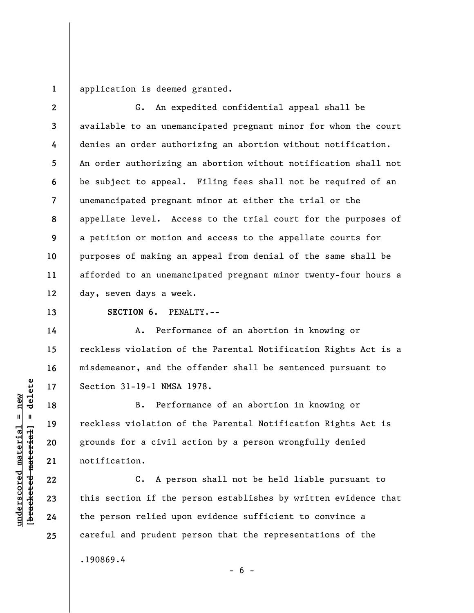**1**  application is deemed granted.

**2 3 4 5 6 7 8 9 10 11 12**  G. An expedited confidential appeal shall be available to an unemancipated pregnant minor for whom the court denies an order authorizing an abortion without notification. An order authorizing an abortion without notification shall not be subject to appeal. Filing fees shall not be required of an unemancipated pregnant minor at either the trial or the appellate level. Access to the trial court for the purposes of a petition or motion and access to the appellate courts for purposes of making an appeal from denial of the same shall be afforded to an unemancipated pregnant minor twenty-four hours a day, seven days a week.

**SECTION 6.** PENALTY.--

A. Performance of an abortion in knowing or reckless violation of the Parental Notification Rights Act is a misdemeanor, and the offender shall be sentenced pursuant to Section 31-19-1 NMSA 1978.

B. Performance of an abortion in knowing or reckless violation of the Parental Notification Rights Act is grounds for a civil action by a person wrongfully denied notification.

C. A person shall not be held liable pursuant to this section if the person establishes by written evidence that the person relied upon evidence sufficient to convince a careful and prudent person that the representations of the .190869.4

 $- 6 -$ 

**13** 

**14** 

**15** 

**16** 

**17** 

**18** 

**19** 

**20** 

**21** 

**22** 

**23** 

**24** 

**25**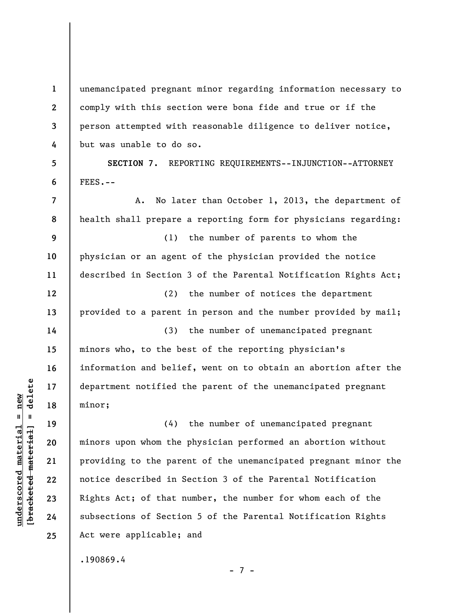**2 3**  unemancipated pregnant minor regarding information necessary to comply with this section were bona fide and true or if the person attempted with reasonable diligence to deliver notice, but was unable to do so.

**SECTION 7.** REPORTING REQUIREMENTS--INJUNCTION--ATTORNEY FEES.--

A. No later than October 1, 2013, the department of health shall prepare a reporting form for physicians regarding:

(1) the number of parents to whom the physician or an agent of the physician provided the notice described in Section 3 of the Parental Notification Rights Act;

(2) the number of notices the department provided to a parent in person and the number provided by mail;

(3) the number of unemancipated pregnant minors who, to the best of the reporting physician's information and belief, went on to obtain an abortion after the department notified the parent of the unemancipated pregnant minor;

(4) the number of unemancipated pregnant minors upon whom the physician performed an abortion without providing to the parent of the unemancipated pregnant minor the notice described in Section 3 of the Parental Notification Rights Act; of that number, the number for whom each of the subsections of Section 5 of the Parental Notification Rights Act were applicable; and

.190869.4

 $\frac{1}{2}$  intereted material = delete **[bracketed material] = delete**  $underscored material = new$ **underscored material = new**

**1** 

**4** 

**5** 

**6** 

**7** 

**8** 

**9** 

**10** 

**11** 

**12** 

**13** 

**14** 

**15** 

**16** 

**17** 

**18** 

**19** 

**20** 

**21** 

**22** 

**23** 

**24** 

**25** 

- 7 -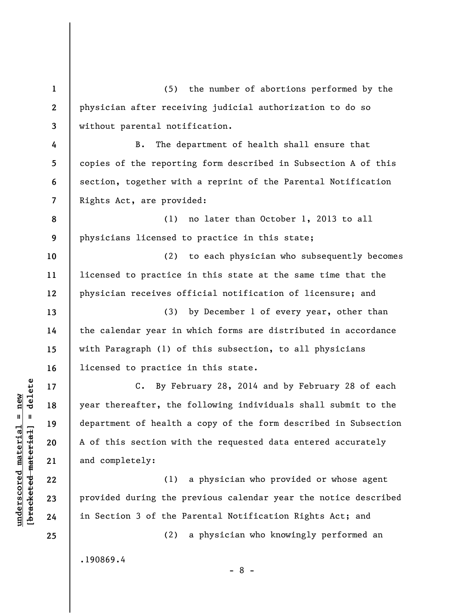**1 2 3 4 5 6 7 8 9 10 11 12 13 14 15 16 17 18 19 20 21 22 23 24 25**  (5) the number of abortions performed by the physician after receiving judicial authorization to do so without parental notification. B. The department of health shall ensure that copies of the reporting form described in Subsection A of this section, together with a reprint of the Parental Notification Rights Act, are provided: (1) no later than October 1, 2013 to all physicians licensed to practice in this state; (2) to each physician who subsequently becomes licensed to practice in this state at the same time that the physician receives official notification of licensure; and (3) by December 1 of every year, other than the calendar year in which forms are distributed in accordance with Paragraph (1) of this subsection, to all physicians licensed to practice in this state. C. By February 28, 2014 and by February 28 of each year thereafter, the following individuals shall submit to the department of health a copy of the form described in Subsection A of this section with the requested data entered accurately and completely: (1) a physician who provided or whose agent provided during the previous calendar year the notice described in Section 3 of the Parental Notification Rights Act; and (2) a physician who knowingly performed an

.190869.4

 $\frac{1}{2}$  intereted material = delete **[bracketed material] = delete**  $underscored material = new$ **underscored material = new**

- 8 -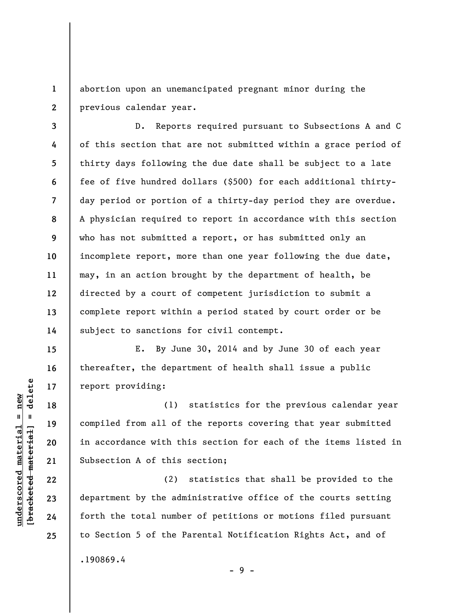**1 2**  abortion upon an unemancipated pregnant minor during the previous calendar year.

**3 4 5 6 7 8 9 10 11 12 13 14**  D. Reports required pursuant to Subsections A and C of this section that are not submitted within a grace period of thirty days following the due date shall be subject to a late fee of five hundred dollars (\$500) for each additional thirtyday period or portion of a thirty-day period they are overdue. A physician required to report in accordance with this section who has not submitted a report, or has submitted only an incomplete report, more than one year following the due date, may, in an action brought by the department of health, be directed by a court of competent jurisdiction to submit a complete report within a period stated by court order or be subject to sanctions for civil contempt.

E. By June 30, 2014 and by June 30 of each year thereafter, the department of health shall issue a public report providing:

(1) statistics for the previous calendar year compiled from all of the reports covering that year submitted in accordance with this section for each of the items listed in Subsection A of this section;

(2) statistics that shall be provided to the department by the administrative office of the courts setting forth the total number of petitions or motions filed pursuant to Section 5 of the Parental Notification Rights Act, and of .190869.4

 $b$ racketed material] = delete **[bracketed material] = delete**  $underscored material = new$ **underscored material = new**

**15** 

**16** 

**17** 

**18** 

**19** 

**20** 

**21** 

**22** 

**23** 

**24** 

**25** 

- 9 -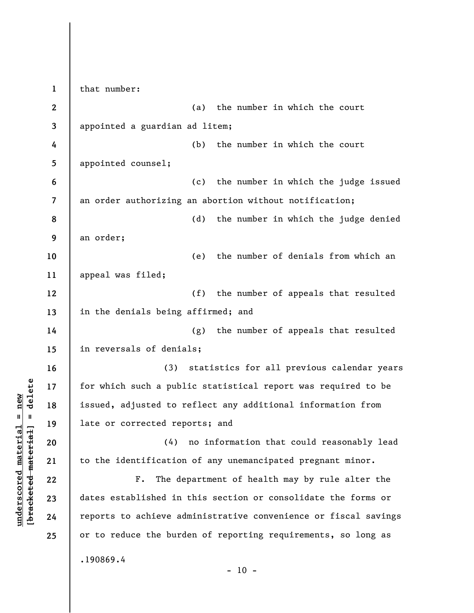**1 2 3 4 5 6 7 8 9 10 11 12 13 14 15 16 17 18 19 20 21 22 23 24 25**  that number: (a) the number in which the court appointed a guardian ad litem; (b) the number in which the court appointed counsel; (c) the number in which the judge issued an order authorizing an abortion without notification; (d) the number in which the judge denied an order; (e) the number of denials from which an appeal was filed; (f) the number of appeals that resulted in the denials being affirmed; and (g) the number of appeals that resulted in reversals of denials; (3) statistics for all previous calendar years for which such a public statistical report was required to be issued, adjusted to reflect any additional information from late or corrected reports; and (4) no information that could reasonably lead to the identification of any unemancipated pregnant minor. F. The department of health may by rule alter the dates established in this section or consolidate the forms or reports to achieve administrative convenience or fiscal savings or to reduce the burden of reporting requirements, so long as .190869.4  $- 10 -$ 

**underscored material = new [bracketed material] = delete**

bracketed material] = delete  $underscored material = new$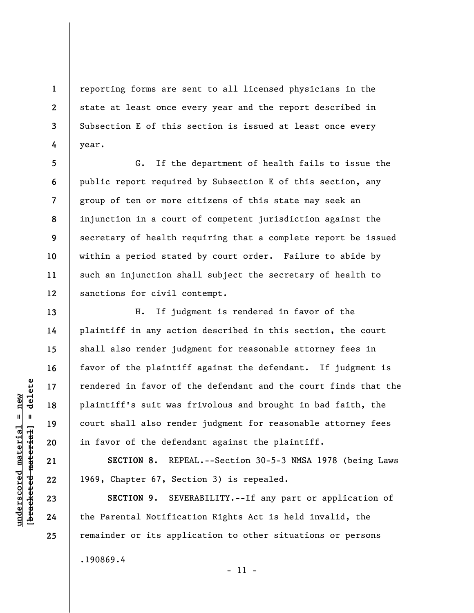reporting forms are sent to all licensed physicians in the state at least once every year and the report described in Subsection E of this section is issued at least once every year.

**5 6 7 8 9 10 11 12**  G. If the department of health fails to issue the public report required by Subsection E of this section, any group of ten or more citizens of this state may seek an injunction in a court of competent jurisdiction against the secretary of health requiring that a complete report be issued within a period stated by court order. Failure to abide by such an injunction shall subject the secretary of health to sanctions for civil contempt.

H. If judgment is rendered in favor of the plaintiff in any action described in this section, the court shall also render judgment for reasonable attorney fees in favor of the plaintiff against the defendant. If judgment is rendered in favor of the defendant and the court finds that the plaintiff's suit was frivolous and brought in bad faith, the court shall also render judgment for reasonable attorney fees in favor of the defendant against the plaintiff.

**SECTION 8.** REPEAL.--Section 30-5-3 NMSA 1978 (being Laws 1969, Chapter 67, Section 3) is repealed.

**SECTION 9.** SEVERABILITY.--If any part or application of the Parental Notification Rights Act is held invalid, the remainder or its application to other situations or persons .190869.4

 $\frac{1}{2}$  intereted material = delete **[bracketed material] = delete**  $underscored material = new$ **underscored material = new**

**24 25** 

**1** 

**2** 

**3** 

**4** 

**13** 

**14** 

**15** 

**16** 

**17** 

**18** 

**19** 

**20** 

**21** 

**22** 

**23** 

- 11 -